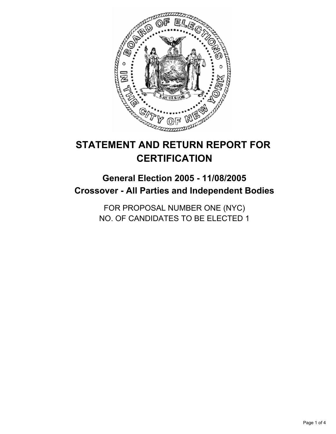

# **STATEMENT AND RETURN REPORT FOR CERTIFICATION**

## **General Election 2005 - 11/08/2005 Crossover - All Parties and Independent Bodies**

FOR PROPOSAL NUMBER ONE (NYC) NO. OF CANDIDATES TO BE ELECTED 1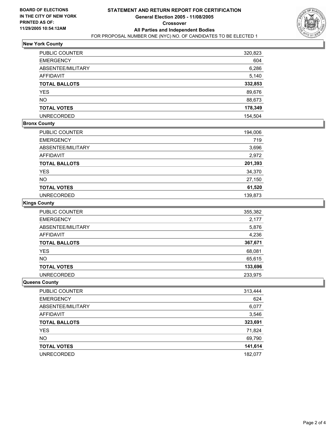

## **New York County**

| PUBLIC COUNTER           | 320,823 |
|--------------------------|---------|
| <b>EMERGENCY</b>         | 604     |
| <b>ABSENTEE/MILITARY</b> | 6,286   |
| <b>AFFIDAVIT</b>         | 5,140   |
| <b>TOTAL BALLOTS</b>     | 332,853 |
| <b>YES</b>               | 89,676  |
| <b>NO</b>                | 88,673  |
| <b>TOTAL VOTES</b>       | 178,349 |
| <b>UNRECORDED</b>        | 154,504 |

#### **Bronx County**

| <b>PUBLIC COUNTER</b> | 194,006 |
|-----------------------|---------|
| <b>EMERGENCY</b>      | 719     |
| ABSENTEE/MILITARY     | 3,696   |
| AFFIDAVIT             | 2,972   |
| <b>TOTAL BALLOTS</b>  | 201,393 |
| <b>YES</b>            | 34,370  |
| <b>NO</b>             | 27,150  |
| <b>TOTAL VOTES</b>    | 61,520  |
| <b>UNRECORDED</b>     | 139,873 |

#### **Kings County**

| <b>PUBLIC COUNTER</b> | 355,382 |
|-----------------------|---------|
| <b>EMERGENCY</b>      | 2,177   |
| ABSENTEE/MILITARY     | 5,876   |
| <b>AFFIDAVIT</b>      | 4,236   |
| <b>TOTAL BALLOTS</b>  | 367,671 |
| <b>YES</b>            | 68,081  |
| <b>NO</b>             | 65,615  |
| <b>TOTAL VOTES</b>    | 133,696 |
| <b>UNRECORDED</b>     | 233,975 |

#### **Queens County**

| <b>PUBLIC COUNTER</b> | 313,444 |
|-----------------------|---------|
| <b>EMERGENCY</b>      | 624     |
| ABSENTEE/MILITARY     | 6,077   |
| AFFIDAVIT             | 3,546   |
| <b>TOTAL BALLOTS</b>  | 323,691 |
| <b>YES</b>            | 71,824  |
| <b>NO</b>             | 69,790  |
| <b>TOTAL VOTES</b>    | 141,614 |
| <b>UNRECORDED</b>     | 182,077 |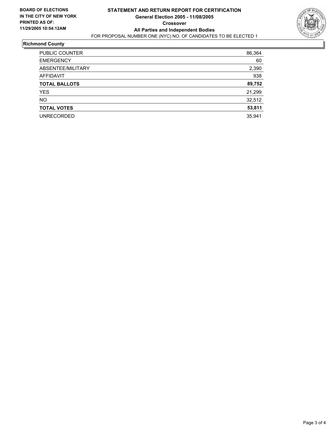

### **Richmond County**

| <b>PUBLIC COUNTER</b> | 86,364 |
|-----------------------|--------|
| <b>EMERGENCY</b>      | 60     |
| ABSENTEE/MILITARY     | 2,390  |
| <b>AFFIDAVIT</b>      | 938    |
| <b>TOTAL BALLOTS</b>  | 89,752 |
| <b>YES</b>            | 21,299 |
| <b>NO</b>             | 32,512 |
| <b>TOTAL VOTES</b>    | 53,811 |
| <b>UNRECORDED</b>     | 35,941 |
|                       |        |